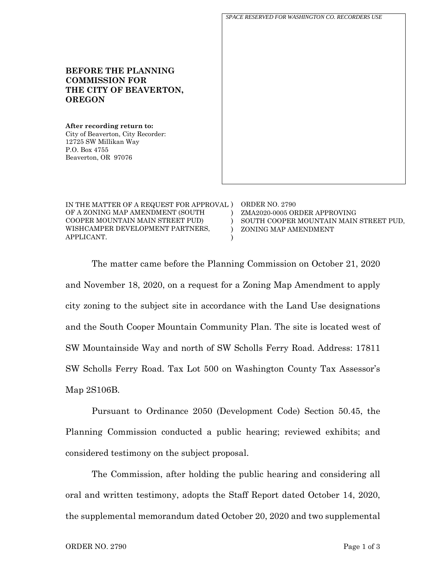**BEFORE THE PLANNING COMMISSION FOR THE CITY OF BEAVERTON, OREGON After recording return to:** City of Beaverton, City Recorder: 12725 SW Millikan Way P.O. Box 4755 Beaverton, OR 97076 IN THE MATTER OF A REQUEST FOR APPROVAL ) ORDER NO. 2790 OF A ZONING MAP AMENDMENT (SOUTH COOPER MOUNTAIN MAIN STREET PUD)  $\lambda$ ZMA2020-0005 ORDER APPROVING *SPACE RESERVED FOR WASHINGTON CO. RECORDERS USE*

WISHCAMPER DEVELOPMENT PARTNERS, APPLICANT. )  $\lambda$ ) SOUTH COOPER MOUNTAIN MAIN STREET PUD, ZONING MAP AMENDMENT The matter came before the Planning Commission on October 21, 2020 and November 18, 2020, on a request for a Zoning Map Amendment to apply city zoning to the subject site in accordance with the Land Use designations and the South Cooper Mountain Community Plan. The site is located west of SW Mountainside Way and north of SW Scholls Ferry Road. Address: 17811

SW Scholls Ferry Road. Tax Lot 500 on Washington County Tax Assessor's Map 2S106B.

Pursuant to Ordinance 2050 (Development Code) Section 50.45, the Planning Commission conducted a public hearing; reviewed exhibits; and considered testimony on the subject proposal.

The Commission, after holding the public hearing and considering all oral and written testimony, adopts the Staff Report dated October 14, 2020, the supplemental memorandum dated October 20, 2020 and two supplemental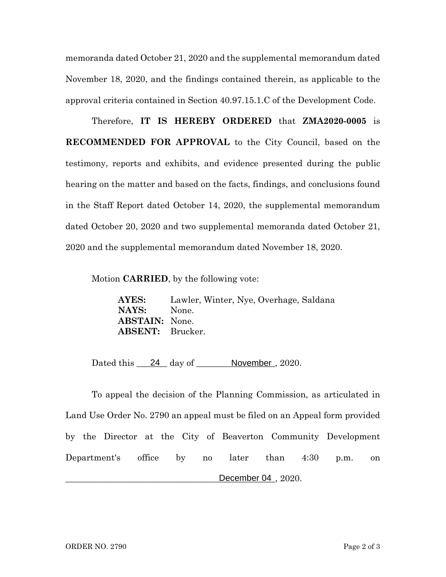memoranda dated October 21, 2020 and the supplemental memorandum dated November 18, 2020, and the findings contained therein, as applicable to the approval criteria contained in Section 40.97.15.1.C of the Development Code.

Therefore, **IT IS HEREBY ORDERED** that **ZMA2020-0005** is **RECOMMENDED FOR APPROVAL** to the City Council, based on the testimony, reports and exhibits, and evidence presented during the public hearing on the matter and based on the facts, findings, and conclusions found in the Staff Report dated October 14, 2020, the supplemental memorandum dated October 20, 2020 and two supplemental memoranda dated October 21, 2020 and the supplemental memorandum dated November 18, 2020.

Motion **CARRIED**, by the following vote:

**AYES:** Lawler, Winter, Nye, Overhage, Saldana **NAYS:** None. **ABSTAIN:** None. **ABSENT:** Brucker.

Dated this 24 day of November, 2020.

To appeal the decision of the Planning Commission, as articulated in Land Use Order No. 2790 an appeal must be filed on an Appeal form provided by the Director at the City of Beaverton Community Development Department's office by no later than 4:30 p.m. on \_\_\_\_\_\_\_\_\_\_\_\_\_\_\_\_\_\_\_\_\_\_\_\_\_\_\_\_\_\_\_\_\_\_\_\_\_\_\_\_\_\_\_\_\_\_\_\_, 2020. December 04